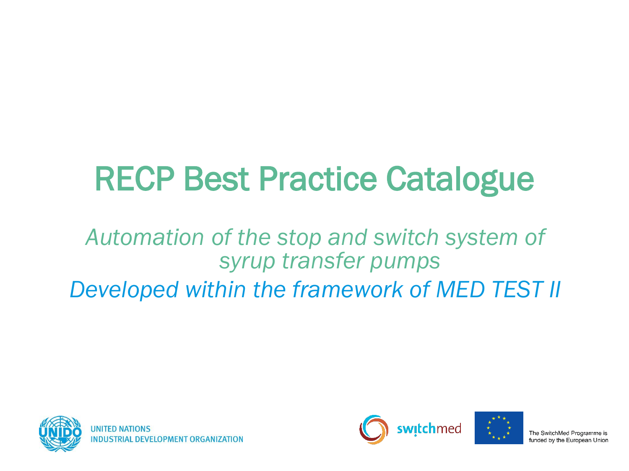# RECP Best Practice Catalogue

#### *Automation of the stop and switch system of syrup transfer pumps Developed within the framework of MED TEST II*





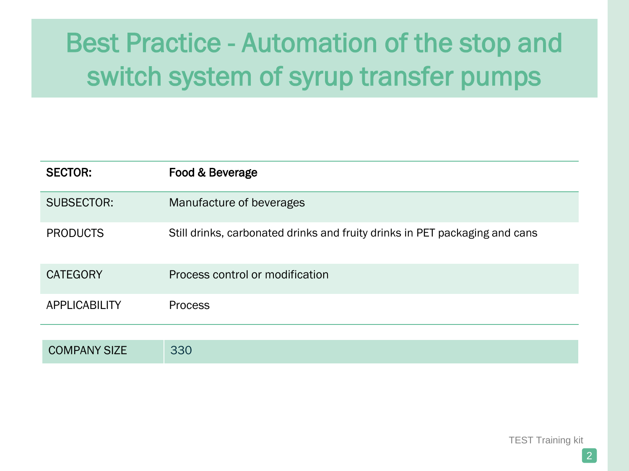| <b>SECTOR:</b>       | Food & Beverage                                                             |
|----------------------|-----------------------------------------------------------------------------|
| <b>SUBSECTOR:</b>    | Manufacture of beverages                                                    |
| <b>PRODUCTS</b>      | Still drinks, carbonated drinks and fruity drinks in PET packaging and cans |
| <b>CATEGORY</b>      | Process control or modification                                             |
| <b>APPLICABILITY</b> | <b>Process</b>                                                              |
|                      |                                                                             |
| <b>COMPANY SIZE</b>  | 330                                                                         |

TEST Training kit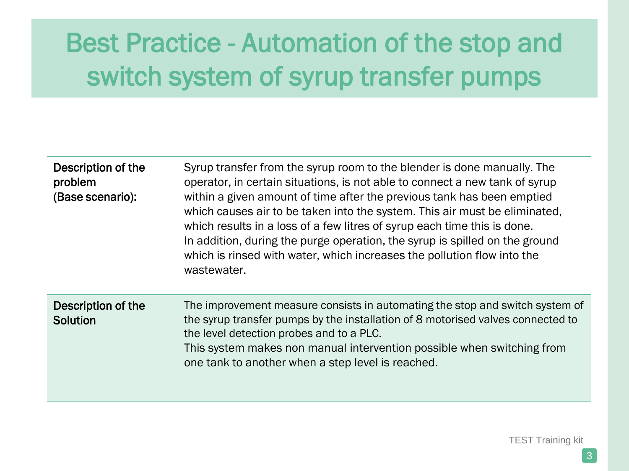| Description of the<br>problem<br>(Base scenario): | Syrup transfer from the syrup room to the blender is done manually. The<br>operator, in certain situations, is not able to connect a new tank of syrup<br>within a given amount of time after the previous tank has been emptied<br>which causes air to be taken into the system. This air must be eliminated,<br>which results in a loss of a few litres of syrup each time this is done.<br>In addition, during the purge operation, the syrup is spilled on the ground<br>which is rinsed with water, which increases the pollution flow into the<br>wastewater. |
|---------------------------------------------------|---------------------------------------------------------------------------------------------------------------------------------------------------------------------------------------------------------------------------------------------------------------------------------------------------------------------------------------------------------------------------------------------------------------------------------------------------------------------------------------------------------------------------------------------------------------------|
| Description of the<br>Solution                    | The improvement measure consists in automating the stop and switch system of<br>the syrup transfer pumps by the installation of 8 motorised valves connected to<br>the level detection probes and to a PLC.<br>This system makes non manual intervention possible when switching from<br>one tank to another when a step level is reached.                                                                                                                                                                                                                          |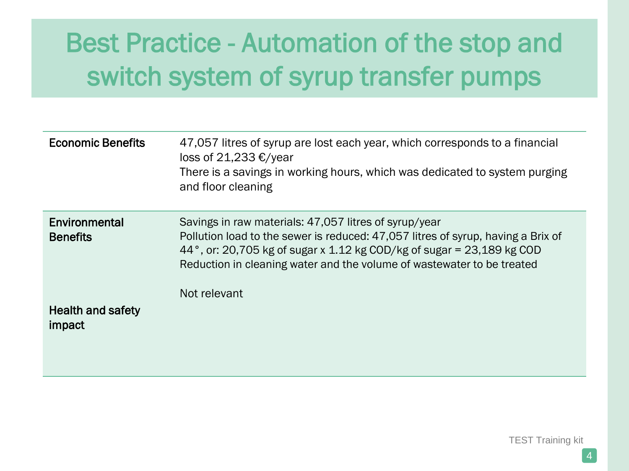| <b>Economic Benefits</b>           | 47,057 litres of syrup are lost each year, which corresponds to a financial<br>loss of 21,233 €/year<br>There is a savings in working hours, which was dedicated to system purging<br>and floor cleaning                                                                                                     |
|------------------------------------|--------------------------------------------------------------------------------------------------------------------------------------------------------------------------------------------------------------------------------------------------------------------------------------------------------------|
| Environmental<br><b>Benefits</b>   | Savings in raw materials: 47,057 litres of syrup/year<br>Pollution load to the sewer is reduced: 47,057 litres of syrup, having a Brix of<br>44°, or: 20,705 kg of sugar x 1.12 kg COD/kg of sugar = 23,189 kg COD<br>Reduction in cleaning water and the volume of wastewater to be treated<br>Not relevant |
| <b>Health and safety</b><br>impact |                                                                                                                                                                                                                                                                                                              |